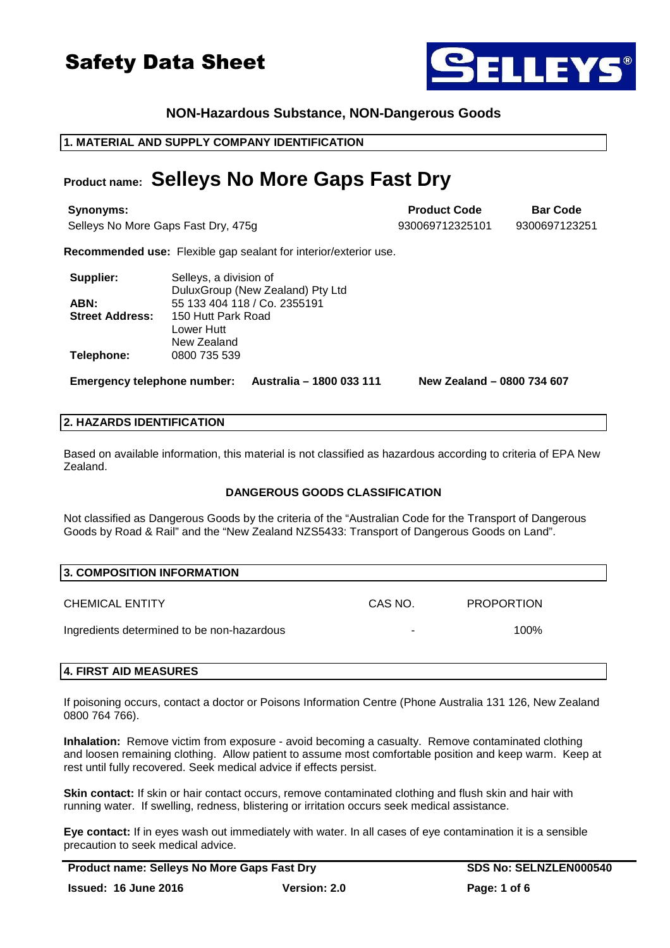### **NON-Hazardous Substance, NON-Dangerous Goods**

### **1. MATERIAL AND SUPPLY COMPANY IDENTIFICATION**

## **Product name: Selleys No More Gaps Fast Dry**

**Synonyms: Bar Code Bar Code Bar Code Bar Code Bar Code Bar Code Bar Code** Selleys No More Gaps Fast Dry, 475g 930069712325101 9300697123251

**Recommended use:** Flexible gap sealant for interior/exterior use.

| Supplier:              | Selleys, a division of           |  |
|------------------------|----------------------------------|--|
|                        | DuluxGroup (New Zealand) Pty Ltd |  |
| ABN:                   | 55 133 404 118 / Co. 2355191     |  |
| <b>Street Address:</b> | 150 Hutt Park Road               |  |
|                        | Lower Hutt                       |  |
|                        | New Zealand                      |  |
| Telephone:             | 0800 735 539                     |  |

**Emergency telephone number: Australia – 1800 033 111 New Zealand – 0800 734 607**

#### **2. HAZARDS IDENTIFICATION**

Based on available information, this material is not classified as hazardous according to criteria of EPA New Zealand.

#### **DANGEROUS GOODS CLASSIFICATION**

Not classified as Dangerous Goods by the criteria of the "Australian Code for the Transport of Dangerous Goods by Road & Rail" and the "New Zealand NZS5433: Transport of Dangerous Goods on Land".

| <b>3. COMPOSITION INFORMATION</b>          |         |                   |  |
|--------------------------------------------|---------|-------------------|--|
| <b>CHEMICAL ENTITY</b>                     | CAS NO. | <b>PROPORTION</b> |  |
| Ingredients determined to be non-hazardous | ٠       | 100%              |  |
|                                            |         |                   |  |

### **4. FIRST AID MEASURES**

If poisoning occurs, contact a doctor or Poisons Information Centre (Phone Australia 131 126, New Zealand 0800 764 766).

**Inhalation:** Remove victim from exposure - avoid becoming a casualty. Remove contaminated clothing and loosen remaining clothing. Allow patient to assume most comfortable position and keep warm. Keep at rest until fully recovered. Seek medical advice if effects persist.

**Skin contact:** If skin or hair contact occurs, remove contaminated clothing and flush skin and hair with running water. If swelling, redness, blistering or irritation occurs seek medical assistance.

**Eye contact:** If in eyes wash out immediately with water. In all cases of eye contamination it is a sensible precaution to seek medical advice.

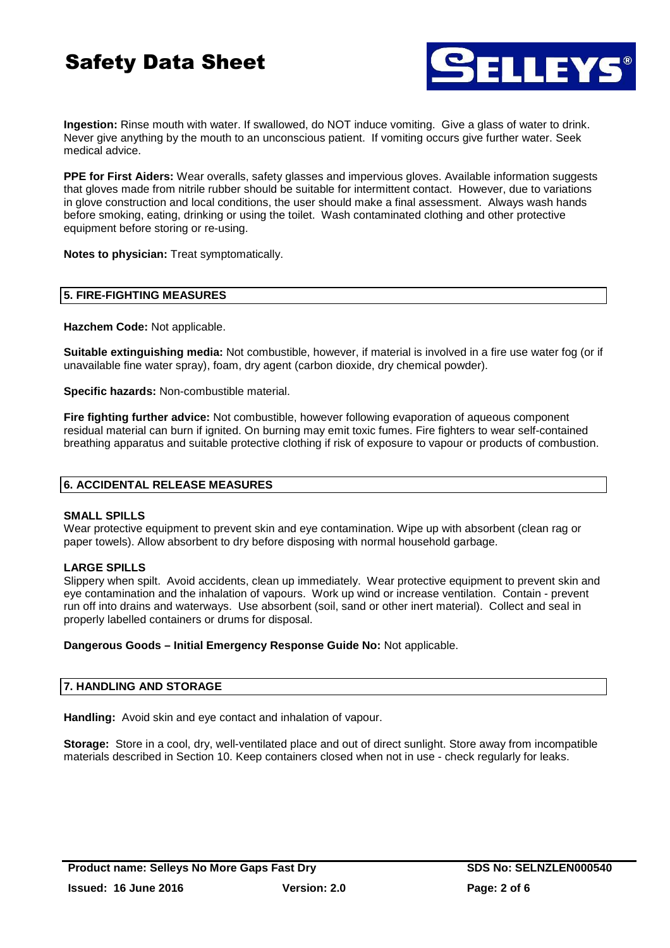

**Ingestion:** Rinse mouth with water. If swallowed, do NOT induce vomiting. Give a glass of water to drink. Never give anything by the mouth to an unconscious patient. If vomiting occurs give further water. Seek medical advice.

**PPE for First Aiders:** Wear overalls, safety glasses and impervious gloves. Available information suggests that gloves made from nitrile rubber should be suitable for intermittent contact. However, due to variations in glove construction and local conditions, the user should make a final assessment. Always wash hands before smoking, eating, drinking or using the toilet. Wash contaminated clothing and other protective equipment before storing or re-using.

**Notes to physician:** Treat symptomatically.

#### **5. FIRE-FIGHTING MEASURES**

**Hazchem Code:** Not applicable.

**Suitable extinguishing media:** Not combustible, however, if material is involved in a fire use water fog (or if unavailable fine water spray), foam, dry agent (carbon dioxide, dry chemical powder).

**Specific hazards:** Non-combustible material.

**Fire fighting further advice:** Not combustible, however following evaporation of aqueous component residual material can burn if ignited. On burning may emit toxic fumes. Fire fighters to wear self-contained breathing apparatus and suitable protective clothing if risk of exposure to vapour or products of combustion.

#### **6. ACCIDENTAL RELEASE MEASURES**

#### **SMALL SPILLS**

Wear protective equipment to prevent skin and eye contamination. Wipe up with absorbent (clean rag or paper towels). Allow absorbent to dry before disposing with normal household garbage.

#### **LARGE SPILLS**

Slippery when spilt. Avoid accidents, clean up immediately. Wear protective equipment to prevent skin and eye contamination and the inhalation of vapours. Work up wind or increase ventilation. Contain - prevent run off into drains and waterways. Use absorbent (soil, sand or other inert material). Collect and seal in properly labelled containers or drums for disposal.

**Dangerous Goods – Initial Emergency Response Guide No:** Not applicable.

#### **7. HANDLING AND STORAGE**

**Handling:** Avoid skin and eye contact and inhalation of vapour.

**Storage:** Store in a cool, dry, well-ventilated place and out of direct sunlight. Store away from incompatible materials described in Section 10. Keep containers closed when not in use - check regularly for leaks.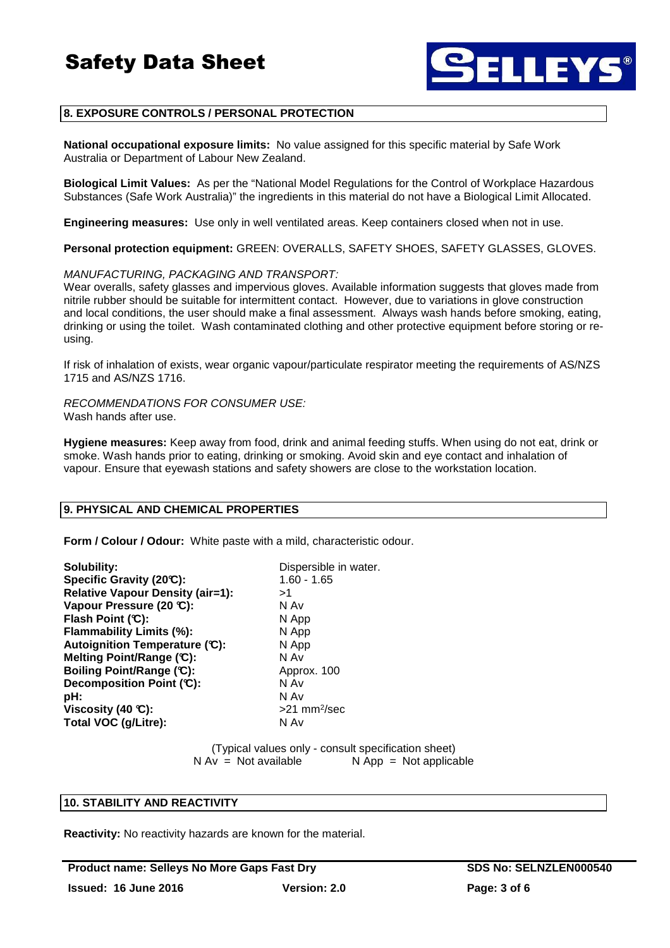

#### **8. EXPOSURE CONTROLS / PERSONAL PROTECTION**

**National occupational exposure limits:** No value assigned for this specific material by Safe Work Australia or Department of Labour New Zealand.

**Biological Limit Values:** As per the "National Model Regulations for the Control of Workplace Hazardous Substances (Safe Work Australia)" the ingredients in this material do not have a Biological Limit Allocated.

**Engineering measures:** Use only in well ventilated areas. Keep containers closed when not in use.

**Personal protection equipment:** GREEN: OVERALLS, SAFETY SHOES, SAFETY GLASSES, GLOVES.

#### MANUFACTURING, PACKAGING AND TRANSPORT:

Wear overalls, safety glasses and impervious gloves. Available information suggests that gloves made from nitrile rubber should be suitable for intermittent contact. However, due to variations in glove construction and local conditions, the user should make a final assessment. Always wash hands before smoking, eating, drinking or using the toilet. Wash contaminated clothing and other protective equipment before storing or reusing.

If risk of inhalation of exists, wear organic vapour/particulate respirator meeting the requirements of AS/NZS 1715 and AS/NZS 1716.

RECOMMENDATIONS FOR CONSUMER USE: Wash hands after use.

**Hygiene measures:** Keep away from food, drink and animal feeding stuffs. When using do not eat, drink or smoke. Wash hands prior to eating, drinking or smoking. Avoid skin and eye contact and inhalation of vapour. Ensure that eyewash stations and safety showers are close to the workstation location.

#### **9. PHYSICAL AND CHEMICAL PROPERTIES**

**Form / Colour / Odour:** White paste with a mild, characteristic odour.

**Solubility:** Dispersible in water. **Specific Gravity (20°C):** 1.60 - 1.65 **Relative Vapour Density (air=1):**  $>1$ <br>**Vapour Pressure (20 ℃):** N Av **Vapour Pressure (20 °C): Flash Point (°C):** N App **Flammability Limits (%):** N App Autoignition Temperature (°C): N App **Melting Point/Range (°C):** N Av **Boiling Point/Range (°C):** Approx. 100 **Decomposition Point (°C):** N Av **pH:** N Av **Viscosity (40 °C): Total VOC (g/Litre):** N Av

>21 mm<sup>2</sup>/sec

(Typical values only - consult specification sheet)  $N Av = Not available$   $N App = Not applicable$ 

#### **10. STABILITY AND REACTIVITY**

**Reactivity:** No reactivity hazards are known for the material.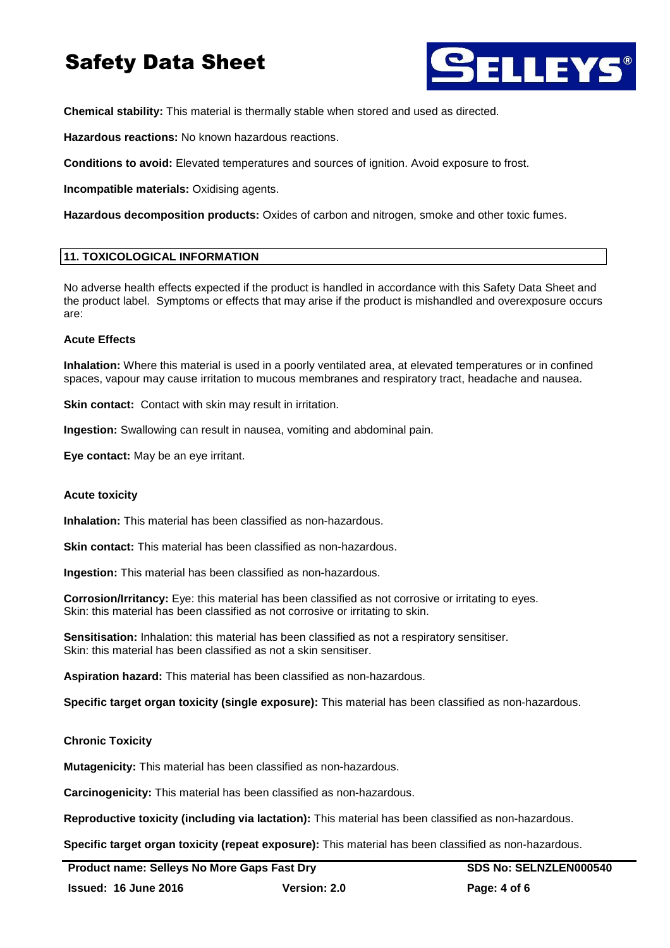

**Chemical stability:** This material is thermally stable when stored and used as directed.

**Hazardous reactions:** No known hazardous reactions.

**Conditions to avoid:** Elevated temperatures and sources of ignition. Avoid exposure to frost.

**Incompatible materials:** Oxidising agents.

**Hazardous decomposition products:** Oxides of carbon and nitrogen, smoke and other toxic fumes.

#### **11. TOXICOLOGICAL INFORMATION**

No adverse health effects expected if the product is handled in accordance with this Safety Data Sheet and the product label. Symptoms or effects that may arise if the product is mishandled and overexposure occurs are:

#### **Acute Effects**

**Inhalation:** Where this material is used in a poorly ventilated area, at elevated temperatures or in confined spaces, vapour may cause irritation to mucous membranes and respiratory tract, headache and nausea.

**Skin contact:** Contact with skin may result in irritation.

**Ingestion:** Swallowing can result in nausea, vomiting and abdominal pain.

**Eye contact:** May be an eye irritant.

#### **Acute toxicity**

**Inhalation:** This material has been classified as non-hazardous.

**Skin contact:** This material has been classified as non-hazardous.

**Ingestion:** This material has been classified as non-hazardous.

**Corrosion/Irritancy:** Eye: this material has been classified as not corrosive or irritating to eyes. Skin: this material has been classified as not corrosive or irritating to skin.

**Sensitisation:** Inhalation: this material has been classified as not a respiratory sensitiser. Skin: this material has been classified as not a skin sensitiser.

**Aspiration hazard:** This material has been classified as non-hazardous.

**Specific target organ toxicity (single exposure):** This material has been classified as non-hazardous.

#### **Chronic Toxicity**

**Mutagenicity:** This material has been classified as non-hazardous.

**Carcinogenicity:** This material has been classified as non-hazardous.

**Reproductive toxicity (including via lactation):** This material has been classified as non-hazardous.

**Specific target organ toxicity (repeat exposure):** This material has been classified as non-hazardous.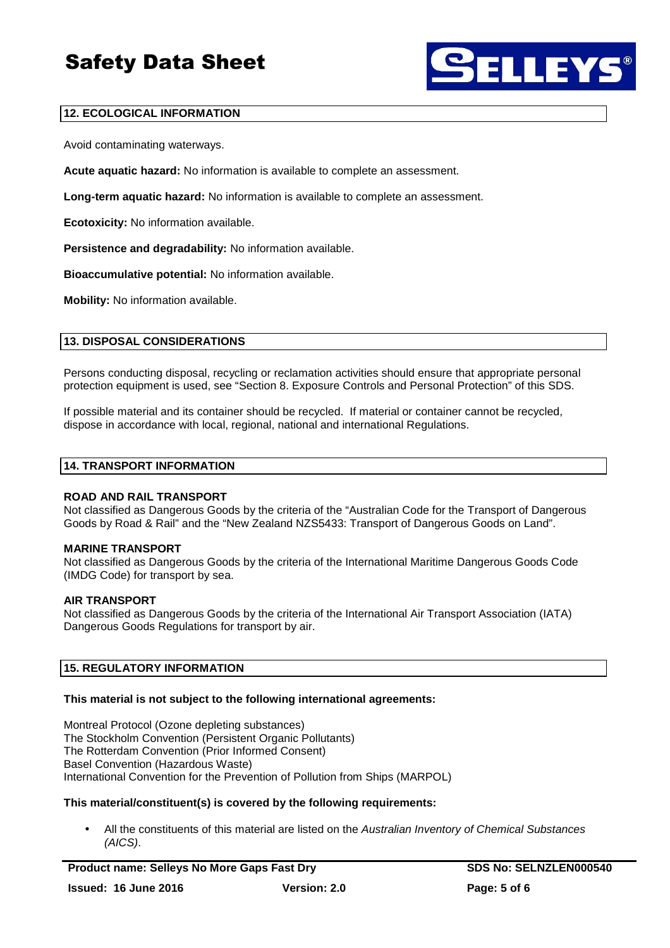

### **12. ECOLOGICAL INFORMATION**

Avoid contaminating waterways.

**Acute aquatic hazard:** No information is available to complete an assessment.

**Long-term aquatic hazard:** No information is available to complete an assessment.

**Ecotoxicity:** No information available.

**Persistence and degradability:** No information available.

**Bioaccumulative potential:** No information available.

**Mobility:** No information available.

#### **13. DISPOSAL CONSIDERATIONS**

Persons conducting disposal, recycling or reclamation activities should ensure that appropriate personal protection equipment is used, see "Section 8. Exposure Controls and Personal Protection" of this SDS.

If possible material and its container should be recycled. If material or container cannot be recycled, dispose in accordance with local, regional, national and international Regulations.

#### **14. TRANSPORT INFORMATION**

#### **ROAD AND RAIL TRANSPORT**

Not classified as Dangerous Goods by the criteria of the "Australian Code for the Transport of Dangerous Goods by Road & Rail" and the "New Zealand NZS5433: Transport of Dangerous Goods on Land".

#### **MARINE TRANSPORT**

Not classified as Dangerous Goods by the criteria of the International Maritime Dangerous Goods Code (IMDG Code) for transport by sea.

#### **AIR TRANSPORT**

Not classified as Dangerous Goods by the criteria of the International Air Transport Association (IATA) Dangerous Goods Regulations for transport by air.

#### **15. REGULATORY INFORMATION**

#### **This material is not subject to the following international agreements:**

Montreal Protocol (Ozone depleting substances) The Stockholm Convention (Persistent Organic Pollutants) The Rotterdam Convention (Prior Informed Consent) Basel Convention (Hazardous Waste) International Convention for the Prevention of Pollution from Ships (MARPOL)

#### **This material/constituent(s) is covered by the following requirements:**

All the constituents of this material are listed on the Australian Inventory of Chemical Substances (AICS).

Product name: Selleys No More Gaps Fast Dry **SDS No: SELNZLEN000540 Issued: 16 June 2016 Version: 2.0 Page: 5 of 6**